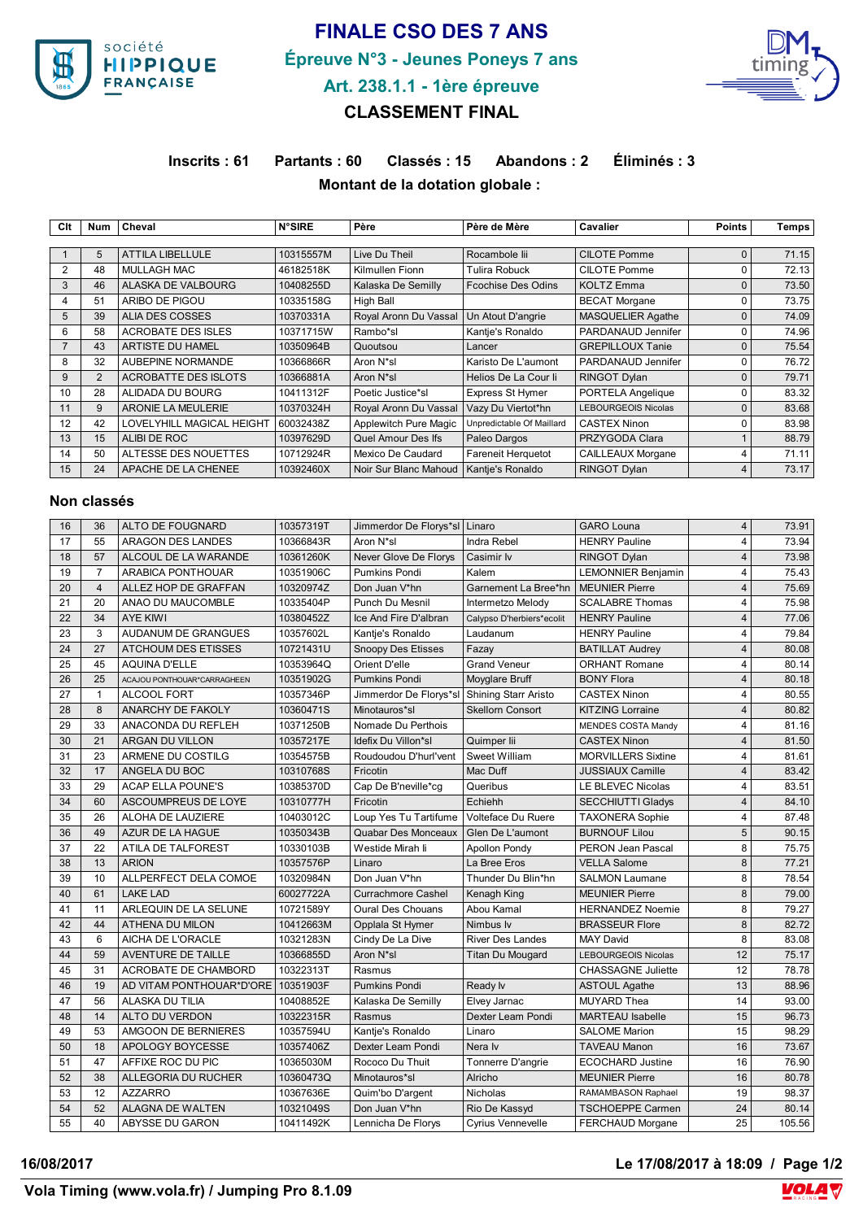

## **FINALE CSO DES 7 ANS Épreuve N°3 - Jeunes Poneys 7 ans Art. 238.1.1 - 1ère épreuve**



## **CLASSEMENT FINAL**

**Inscrits : 61 Partants : 60 Classés : 15 Abandons : 2 Éliminés : 3 Montant de la dotation globale :** 

| Clt            | <b>Num</b> | Cheval                           | <b>N°SIRE</b> | Père                   | Père de Mère              | Cavalier                   | <b>Points</b> | Temps |
|----------------|------------|----------------------------------|---------------|------------------------|---------------------------|----------------------------|---------------|-------|
|                |            |                                  |               |                        |                           |                            |               |       |
|                | 5          | <b>ATTILA LIBELLULE</b>          | 10315557M     | Live Du Theil          | Rocambole lii             | <b>CILOTE Pomme</b>        | $\Omega$      | 71.15 |
| $\overline{2}$ | 48         | <b>MULLAGH MAC</b>               | 46182518K     | Kilmullen Fionn        | <b>Tulira Robuck</b>      | CILOTE Pomme               | U             | 72.13 |
| 3              | 46         | ALASKA DE VALBOURG               | 10408255D     | Kalaska De Semilly     | <b>Fcochise Des Odins</b> | <b>KOLTZ Emma</b>          | $\Omega$      | 73.50 |
| 4              | 51         | ARIBO DE PIGOU                   | 10335158G     | High Ball              |                           | <b>BECAT Morgane</b>       |               | 73.75 |
| 5              | 39         | ALIA DES COSSES                  | 10370331A     | Royal Aronn Du Vassal  | Un Atout D'angrie         | <b>MASQUELIER Agathe</b>   | $\Omega$      | 74.09 |
| 6              | 58         | <b>ACROBATE DES ISLES</b>        | 10371715W     | Rambo*sl               | Kantje's Ronaldo          | PARDANAUD Jennifer         | 0             | 74.96 |
| $\overline{7}$ | 43         | ARTISTE DU HAMEL                 | 10350964B     | Quoutsou               | Lancer                    | <b>GREPILLOUX Tanie</b>    | $\Omega$      | 75.54 |
| 8              | 32         | AUBEPINE NORMANDE                | 10366866R     | Aron N*sl              | Karisto De L'aumont       | PARDANAUD Jennifer         | 0             | 76.72 |
| 9              | 2          | ACROBATTE DES ISLOTS             | 10366881A     | Aron N <sup>*</sup> sl | Helios De La Cour li      | RINGOT Dylan               | $\mathbf{0}$  | 79.71 |
| 10             | 28         | ALIDADA DU BOURG                 | 10411312F     | Poetic Justice*sl      | <b>Express St Hymer</b>   | PORTELA Angelique          | 0             | 83.32 |
| 11             | 9          | ARONIE LA MEULERIE               | 10370324H     | Royal Aronn Du Vassal  | Vazy Du Viertot*hn        | <b>LEBOURGEOIS Nicolas</b> | $\Omega$      | 83.68 |
| 12             | 42         | <b>LOVELYHILL MAGICAL HEIGHT</b> | 60032438Z     | Applewitch Pure Magic  | Unpredictable Of Maillard | <b>CASTEX Ninon</b>        | $\Omega$      | 83.98 |
| 13             | 15         | ALIBI DE ROC                     | 10397629D     | Quel Amour Des Ifs     | Paleo Dargos              | PRZYGODA Clara             |               | 88.79 |
| 14             | 50         | ALTESSE DES NOUETTES             | 10712924R     | Mexico De Caudard      | Fareneit Herquetot        | CAILLEAUX Morgane          | 4             | 71.11 |
| 15             | 24         | APACHE DE LA CHENEE              | 10392460X     | Noir Sur Blanc Mahoud  | Kantje's Ronaldo          | RINGOT Dylan               | 4             | 73.17 |

## **Non classés**

| 16 | 36             | ALTO DE FOUGNARD                   | 10357319T | Jimmerdor De Florys*sl   Linaro |                             | <b>GARO Louna</b>          | $\overline{4}$ | 73.91  |
|----|----------------|------------------------------------|-----------|---------------------------------|-----------------------------|----------------------------|----------------|--------|
| 17 | 55             | <b>ARAGON DES LANDES</b>           | 10366843R | Aron N*sl                       | <b>Indra Rebel</b>          | <b>HENRY Pauline</b>       | 4              | 73.94  |
| 18 | 57             | ALCOUL DE LA WARANDE               | 10361260K | Never Glove De Florys           | Casimir Iv                  | <b>RINGOT Dylan</b>        | $\overline{4}$ | 73.98  |
| 19 | $\overline{7}$ | ARABICA PONTHOUAR                  | 10351906C | <b>Pumkins Pondi</b>            | Kalem                       | <b>LEMONNIER Benjamin</b>  | 4              | 75.43  |
| 20 | $\overline{4}$ | ALLEZ HOP DE GRAFFAN               | 10320974Z | Don Juan V*hn                   | Garnement La Bree*hn        | <b>MEUNIER Pierre</b>      | $\overline{4}$ | 75.69  |
| 21 | 20             | ANAO DU MAUCOMBLE                  | 10335404P | Punch Du Mesnil                 | Intermetzo Melody           | <b>SCALABRE Thomas</b>     | 4              | 75.98  |
| 22 | 34             | <b>AYE KIWI</b>                    | 10380452Z | Ice And Fire D'albran           | Calypso D'herbiers*ecolit   | <b>HENRY Pauline</b>       | $\overline{4}$ | 77.06  |
| 23 | 3              | AUDANUM DE GRANGUES                | 10357602L | Kantje's Ronaldo                | Laudanum                    | <b>HENRY Pauline</b>       | 4              | 79.84  |
| 24 | 27             | ATCHOUM DES ETISSES                | 10721431U | <b>Snoopy Des Etisses</b>       | Fazay                       | <b>BATILLAT Audrey</b>     | $\overline{4}$ | 80.08  |
| 25 | 45             | <b>AQUINA D'ELLE</b>               | 10353964Q | Orient D'elle                   | <b>Grand Veneur</b>         | <b>ORHANT Romane</b>       | 4              | 80.14  |
| 26 | 25             | ACAJOU PONTHOUAR*CARRAGHEEN        | 10351902G | <b>Pumkins Pondi</b>            | Moyglare Bruff              | <b>BONY Flora</b>          | $\overline{4}$ | 80.18  |
| 27 | $\mathbf{1}$   | ALCOOL FORT                        | 10357346P | Jimmerdor De Florys*sl          | <b>Shining Starr Aristo</b> | <b>CASTEX Ninon</b>        | 4              | 80.55  |
| 28 | 8              | ANARCHY DE FAKOLY                  | 10360471S | Minotauros*sl                   | <b>Skellorn Consort</b>     | <b>KITZING Lorraine</b>    | $\overline{4}$ | 80.82  |
| 29 | 33             | ANACONDA DU REFLEH                 | 10371250B | Nomade Du Perthois              |                             | <b>MENDES COSTA Mandy</b>  | 4              | 81.16  |
| 30 | 21             | ARGAN DU VILLON                    | 10357217E | Idefix Du Villon*sl             | Quimper lii                 | <b>CASTEX Ninon</b>        | $\overline{4}$ | 81.50  |
| 31 | 23             | ARMENE DU COSTILG                  | 10354575B | Roudoudou D'hurl'vent           | Sweet William               | <b>MORVILLERS Sixtine</b>  | 4              | 81.61  |
| 32 | 17             | ANGELA DU BOC                      | 10310768S | Fricotin                        | Mac Duff                    | <b>JUSSIAUX Camille</b>    | $\overline{4}$ | 83.42  |
| 33 | 29             | <b>ACAP ELLA POUNE'S</b>           | 10385370D | Cap De B'neville*cg             | Queribus                    | LE BLEVEC Nicolas          | 4              | 83.51  |
| 34 | 60             | ASCOUMPREUS DE LOYE                | 10310777H | Fricotin                        | Echiehh                     | <b>SECCHIUTTI Gladys</b>   | $\overline{4}$ | 84.10  |
| 35 | 26             | ALOHA DE LAUZIERE                  | 10403012C | Loup Yes Tu Tartifume           | Volteface Du Ruere          | <b>TAXONERA Sophie</b>     | 4              | 87.48  |
| 36 | 49             | AZUR DE LA HAGUE                   | 10350343B | Quabar Des Monceaux             | Glen De L'aumont            | <b>BURNOUF Lilou</b>       | 5              | 90.15  |
| 37 | 22             | ATILA DE TALFOREST                 | 10330103B | Westide Mirah li                | <b>Apollon Pondy</b>        | PERON Jean Pascal          | 8              | 75.75  |
| 38 | 13             | <b>ARION</b>                       | 10357576P | Linaro                          | La Bree Eros                | <b>VELLA Salome</b>        | 8              | 77.21  |
| 39 | 10             | ALLPERFECT DELA COMOE              | 10320984N | Don Juan V*hn                   | Thunder Du Blin*hn          | <b>SALMON Laumane</b>      | 8              | 78.54  |
| 40 | 61             | <b>LAKE LAD</b>                    | 60027722A | <b>Currachmore Cashel</b>       | Kenagh King                 | <b>MEUNIER Pierre</b>      | 8              | 79.00  |
| 41 | 11             | ARLEQUIN DE LA SELUNE              | 10721589Y | <b>Oural Des Chouans</b>        | Abou Kamal                  | <b>HERNANDEZ Noemie</b>    | 8              | 79.27  |
| 42 | 44             | ATHENA DU MILON                    | 10412663M | Opplala St Hymer                | Nimbus Iv                   | <b>BRASSEUR Flore</b>      | 8              | 82.72  |
| 43 | 6              | AICHA DE L'ORACLE                  | 10321283N | Cindy De La Dive                | <b>River Des Landes</b>     | <b>MAY David</b>           | 8              | 83.08  |
| 44 | 59             | AVENTURE DE TAILLE                 | 10366855D | Aron N*sl                       | <b>Titan Du Mougard</b>     | <b>LEBOURGEOIS Nicolas</b> | 12             | 75.17  |
| 45 | 31             | ACROBATE DE CHAMBORD               | 10322313T | Rasmus                          |                             | <b>CHASSAGNE Juliette</b>  | 12             | 78.78  |
| 46 | 19             | AD VITAM PONTHOUAR*D'ORE 10351903F |           | <b>Pumkins Pondi</b>            | Ready lv                    | <b>ASTOUL Agathe</b>       | 13             | 88.96  |
| 47 | 56             | ALASKA DU TILIA                    | 10408852E | Kalaska De Semilly              | Elvey Jarnac                | <b>MUYARD Thea</b>         | 14             | 93.00  |
| 48 | 14             | ALTO DU VERDON                     | 10322315R | Rasmus                          | Dexter Leam Pondi           | <b>MARTEAU</b> Isabelle    | 15             | 96.73  |
| 49 | 53             | AMGOON DE BERNIERES                | 10357594U | Kantje's Ronaldo                | Linaro                      | <b>SALOME Marion</b>       | 15             | 98.29  |
| 50 | 18             | APOLOGY BOYCESSE                   | 10357406Z | Dexter Leam Pondi               | Nera Iv                     | <b>TAVEAU Manon</b>        | 16             | 73.67  |
| 51 | 47             | AFFIXE ROC DU PIC                  | 10365030M | Rococo Du Thuit                 | Tonnerre D'angrie           | <b>ECOCHARD Justine</b>    | 16             | 76.90  |
| 52 | 38             | ALLEGORIA DU RUCHER                | 10360473Q | Minotauros*sl                   | Alricho                     | <b>MEUNIER Pierre</b>      | 16             | 80.78  |
| 53 | 12             | <b>AZZARRO</b>                     | 10367636E | Quim'bo D'argent                | Nicholas                    | RAMAMBASON Raphael         | 19             | 98.37  |
| 54 | 52             | <b>ALAGNA DE WALTEN</b>            | 10321049S | Don Juan V*hn                   | Rio De Kassyd               | <b>TSCHOEPPE Carmen</b>    | 24             | 80.14  |
| 55 | 40             | ABYSSE DU GARON                    | 10411492K | Lennicha De Florys              | <b>Cyrius Vennevelle</b>    | <b>FERCHAUD Morgane</b>    | 25             | 105.56 |

**16/08/2017 Le 17/08/2017 à 18:09 / Page 1/2**